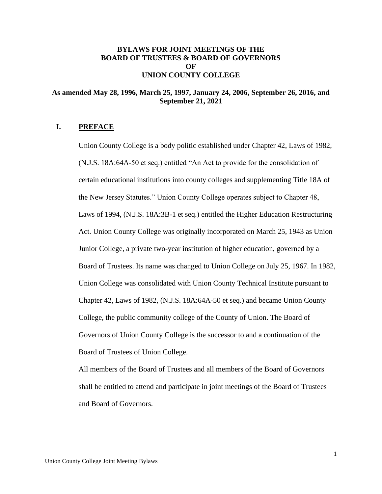# **BYLAWS FOR JOINT MEETINGS OF THE BOARD OF TRUSTEES & BOARD OF GOVERNORS OF UNION COUNTY COLLEGE**

## **As amended May 28, 1996, March 25, 1997, January 24, 2006, September 26, 2016, and September 21, 2021**

## **I. PREFACE**

Union County College is a body politic established under Chapter 42, Laws of 1982, (N.J.S. 18A:64A-50 et seq.) entitled "An Act to provide for the consolidation of certain educational institutions into county colleges and supplementing Title 18A of the New Jersey Statutes." Union County College operates subject to Chapter 48, Laws of 1994, (N.J.S. 18A:3B-1 et seq.) entitled the Higher Education Restructuring Act. Union County College was originally incorporated on March 25, 1943 as Union Junior College, a private two-year institution of higher education, governed by a Board of Trustees. Its name was changed to Union College on July 25, 1967. In 1982, Union College was consolidated with Union County Technical Institute pursuant to Chapter 42, Laws of 1982, (N.J.S. 18A:64A-50 et seq.) and became Union County College, the public community college of the County of Union. The Board of Governors of Union County College is the successor to and a continuation of the Board of Trustees of Union College.

All members of the Board of Trustees and all members of the Board of Governors shall be entitled to attend and participate in joint meetings of the Board of Trustees and Board of Governors.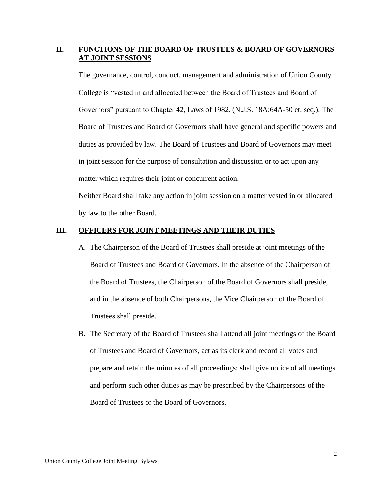# **II. FUNCTIONS OF THE BOARD OF TRUSTEES & BOARD OF GOVERNORS AT JOINT SESSIONS**

The governance, control, conduct, management and administration of Union County College is "vested in and allocated between the Board of Trustees and Board of Governors" pursuant to Chapter 42, Laws of 1982, (N.J.S. 18A:64A-50 et. seq.). The Board of Trustees and Board of Governors shall have general and specific powers and duties as provided by law. The Board of Trustees and Board of Governors may meet in joint session for the purpose of consultation and discussion or to act upon any matter which requires their joint or concurrent action.

Neither Board shall take any action in joint session on a matter vested in or allocated by law to the other Board.

#### **III. OFFICERS FOR JOINT MEETINGS AND THEIR DUTIES**

- A. The Chairperson of the Board of Trustees shall preside at joint meetings of the Board of Trustees and Board of Governors. In the absence of the Chairperson of the Board of Trustees, the Chairperson of the Board of Governors shall preside, and in the absence of both Chairpersons, the Vice Chairperson of the Board of Trustees shall preside.
- B. The Secretary of the Board of Trustees shall attend all joint meetings of the Board of Trustees and Board of Governors, act as its clerk and record all votes and prepare and retain the minutes of all proceedings; shall give notice of all meetings and perform such other duties as may be prescribed by the Chairpersons of the Board of Trustees or the Board of Governors.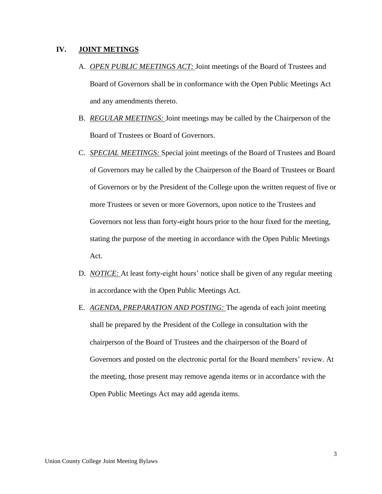## **IV. JOINT METINGS**

- A. *OPEN PUBLIC MEETINGS ACT:* Joint meetings of the Board of Trustees and Board of Governors shall be in conformance with the Open Public Meetings Act and any amendments thereto.
- B. *REGULAR MEETINGS:* Joint meetings may be called by the Chairperson of the Board of Trustees or Board of Governors.
- C. *SPECIAL MEETINGS:* Special joint meetings of the Board of Trustees and Board of Governors may be called by the Chairperson of the Board of Trustees or Board of Governors or by the President of the College upon the written request of five or more Trustees or seven or more Governors, upon notice to the Trustees and Governors not less than forty-eight hours prior to the hour fixed for the meeting, stating the purpose of the meeting in accordance with the Open Public Meetings Act.
- D. *NOTICE:* At least forty-eight hours' notice shall be given of any regular meeting in accordance with the Open Public Meetings Act.
- E. *AGENDA, PREPARATION AND POSTING:* The agenda of each joint meeting shall be prepared by the President of the College in consultation with the chairperson of the Board of Trustees and the chairperson of the Board of Governors and posted on the electronic portal for the Board members' review. At the meeting, those present may remove agenda items or in accordance with the Open Public Meetings Act may add agenda items.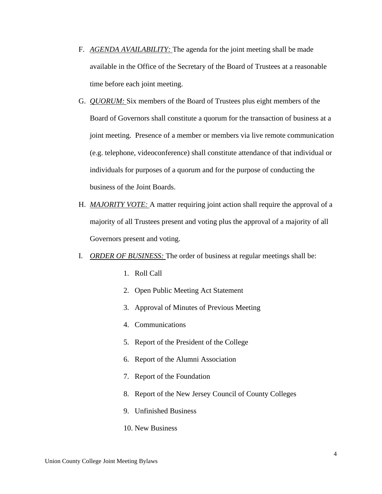- F. *AGENDA AVAILABILITY:* The agenda for the joint meeting shall be made available in the Office of the Secretary of the Board of Trustees at a reasonable time before each joint meeting.
- G. *QUORUM:* Six members of the Board of Trustees plus eight members of the Board of Governors shall constitute a quorum for the transaction of business at a joint meeting. Presence of a member or members via live remote communication (e.g. telephone, videoconference) shall constitute attendance of that individual or individuals for purposes of a quorum and for the purpose of conducting the business of the Joint Boards.
- H. *MAJORITY VOTE:* A matter requiring joint action shall require the approval of a majority of all Trustees present and voting plus the approval of a majority of all Governors present and voting.
- I. *ORDER OF BUSINESS:* The order of business at regular meetings shall be:
	- 1. Roll Call
	- 2. Open Public Meeting Act Statement
	- 3. Approval of Minutes of Previous Meeting
	- 4. Communications
	- 5. Report of the President of the College
	- 6. Report of the Alumni Association
	- 7. Report of the Foundation
	- 8. Report of the New Jersey Council of County Colleges
	- 9. Unfinished Business
	- 10. New Business